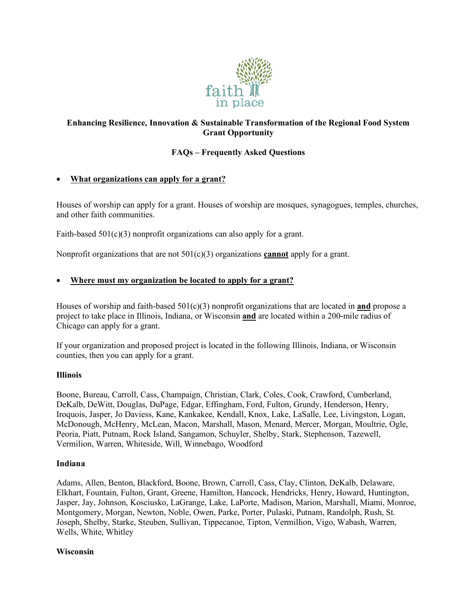

## **Enhancing Resilience, Innovation & Sustainable Transformation of the Regional Food System Grant Opportunity**

### **FAQs – Frequently Asked Questions**

### • **What organizations can apply for a grant?**

Houses of worship can apply for a grant. Houses of worship are mosques, synagogues, temples, churches, and other faith communities.

Faith-based 501(c)(3) nonprofit organizations can also apply for a grant.

Nonprofit organizations that are not 501(c)(3) organizations **cannot** apply for a grant.

### • **Where must my organization be located to apply for a grant?**

Houses of worship and faith-based 501(c)(3) nonprofit organizations that are located in **and** propose a project to take place in Illinois, Indiana, or Wisconsin **and** are located within a 200-mile radius of Chicago can apply for a grant.

If your organization and proposed project is located in the following Illinois, Indiana, or Wisconsin counties, then you can apply for a grant.

#### **Illinois**

Boone, Bureau, Carroll, Cass, Champaign, Christian, Clark, Coles, Cook, Crawford, Cumberland, DeKalb, DeWitt, Douglas, DuPage, Edgar, Effingham, Ford, Fulton, Grundy, Henderson, Henry, Iroquois, Jasper, Jo Daviess, Kane, Kankakee, Kendall, Knox, Lake, LaSalle, Lee, Livingston, Logan, McDonough, McHenry, McLean, Macon, Marshall, Mason, Menard, Mercer, Morgan, Moultrie, Ogle, Peoria, Piatt, Putnam, Rock Island, Sangamon, Schuyler, Shelby, Stark, Stephenson, Tazewell, Vermilion, Warren, Whiteside, Will, Winnebago, Woodford

#### **Indiana**

Adams, Allen, Benton, Blackford, Boone, Brown, Carroll, Cass, Clay, Clinton, DeKalb, Delaware, Elkhart, Fountain, Fulton, Grant, Greene, Hamilton, Hancock, Hendricks, Henry, Howard, Huntington, Jasper, Jay, Johnson, Kosciusko, LaGrange, Lake, LaPorte, Madison, Marion, Marshall, Miami, Monroe, Montgomery, Morgan, Newton, Noble, Owen, Parke, Porter, Pulaski, Putnam, Randolph, Rush, St. Joseph, Shelby, Starke, Steuben, Sullivan, Tippecanoe, Tipton, Vermillion, Vigo, Wabash, Warren, Wells, White, Whitley

### **Wisconsin**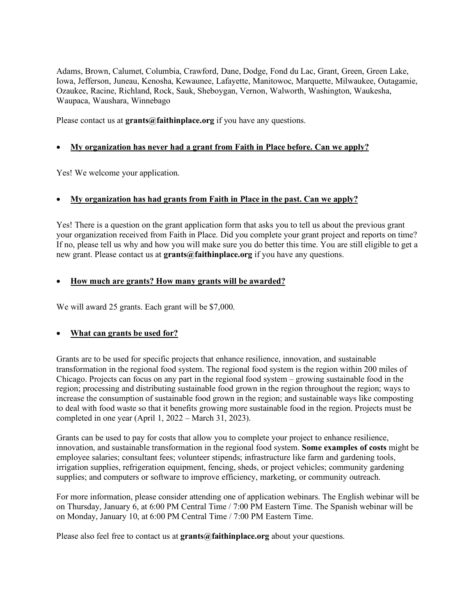Adams, Brown, Calumet, Columbia, Crawford, Dane, Dodge, Fond du Lac, Grant, Green, Green Lake, Iowa, Jefferson, Juneau, Kenosha, Kewaunee, Lafayette, Manitowoc, Marquette, Milwaukee, Outagamie, Ozaukee, Racine, Richland, Rock, Sauk, Sheboygan, Vernon, Walworth, Washington, Waukesha, Waupaca, Waushara, Winnebago

Please contact us at **grants@faithinplace.org** if you have any questions.

## • **My organization has never had a grant from Faith in Place before. Can we apply?**

Yes! We welcome your application.

## • **My organization has had grants from Faith in Place in the past. Can we apply?**

Yes! There is a question on the grant application form that asks you to tell us about the previous grant your organization received from Faith in Place. Did you complete your grant project and reports on time? If no, please tell us why and how you will make sure you do better this time. You are still eligible to get a new grant. Please contact us at **grants@faithinplace.org** if you have any questions.

## • **How much are grants? How many grants will be awarded?**

We will award 25 grants. Each grant will be \$7,000.

# • **What can grants be used for?**

Grants are to be used for specific projects that enhance resilience, innovation, and sustainable transformation in the regional food system. The regional food system is the region within 200 miles of Chicago. Projects can focus on any part in the regional food system – growing sustainable food in the region; processing and distributing sustainable food grown in the region throughout the region; ways to increase the consumption of sustainable food grown in the region; and sustainable ways like composting to deal with food waste so that it benefits growing more sustainable food in the region. Projects must be completed in one year (April 1, 2022 – March 31, 2023).

Grants can be used to pay for costs that allow you to complete your project to enhance resilience, innovation, and sustainable transformation in the regional food system. **Some examples of costs** might be employee salaries; consultant fees; volunteer stipends; infrastructure like farm and gardening tools, irrigation supplies, refrigeration equipment, fencing, sheds, or project vehicles; community gardening supplies; and computers or software to improve efficiency, marketing, or community outreach.

For more information, please consider attending one of application webinars. The English webinar will be on Thursday, January 6, at 6:00 PM Central Time / 7:00 PM Eastern Time. The Spanish webinar will be on Monday, January 10, at 6:00 PM Central Time / 7:00 PM Eastern Time.

Please also feel free to contact us at **grants@faithinplace.org** about your questions.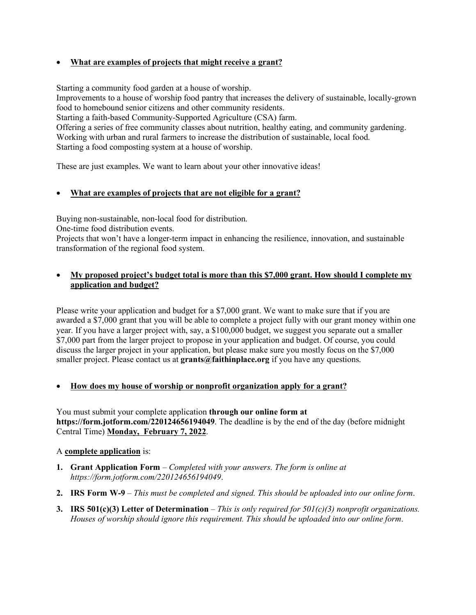## • **What are examples of projects that might receive a grant?**

Starting a community food garden at a house of worship.

Improvements to a house of worship food pantry that increases the delivery of sustainable, locally-grown food to homebound senior citizens and other community residents.

Starting a faith-based Community-Supported Agriculture (CSA) farm.

Offering a series of free community classes about nutrition, healthy eating, and community gardening. Working with urban and rural farmers to increase the distribution of sustainable, local food. Starting a food composting system at a house of worship.

These are just examples. We want to learn about your other innovative ideas!

## • **What are examples of projects that are not eligible for a grant?**

Buying non-sustainable, non-local food for distribution.

One-time food distribution events.

Projects that won't have a longer-term impact in enhancing the resilience, innovation, and sustainable transformation of the regional food system.

## • **My proposed project's budget total is more than this \$7,000 grant. How should I complete my application and budget?**

Please write your application and budget for a \$7,000 grant. We want to make sure that if you are awarded a \$7,000 grant that you will be able to complete a project fully with our grant money within one year. If you have a larger project with, say, a \$100,000 budget, we suggest you separate out a smaller \$7,000 part from the larger project to propose in your application and budget. Of course, you could discuss the larger project in your application, but please make sure you mostly focus on the \$7,000 smaller project. Please contact us at **grants@faithinplace.org** if you have any questions.

## • **How does my house of worship or nonprofit organization apply for a grant?**

You must submit your complete application **through our online form at https://form.jotform.com/220124656194049**. The deadline is by the end of the day (before midnight Central Time) **Monday, February 7, 2022**.

### A **complete application** is:

- **1. Grant Application Form** *Completed with your answers. The form is online at https://form.jotform.com/220124656194049*.
- **2. IRS Form W-9** *This must be completed and signed. This should be uploaded into our online form*.
- **3. IRS 501(c)(3) Letter of Determination** *This is only required for 501(c)(3) nonprofit organizations. Houses of worship should ignore this requirement. This should be uploaded into our online form*.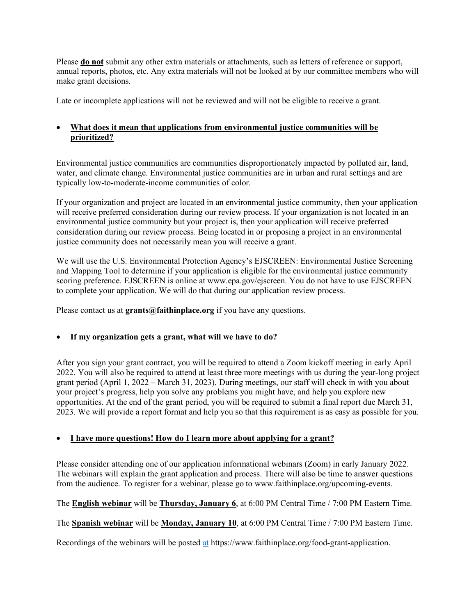Please **do not** submit any other extra materials or attachments, such as letters of reference or support, annual reports, photos, etc. Any extra materials will not be looked at by our committee members who will make grant decisions.

Late or incomplete applications will not be reviewed and will not be eligible to receive a grant.

## • **What does it mean that applications from environmental justice communities will be prioritized?**

Environmental justice communities are communities disproportionately impacted by polluted air, land, water, and climate change. Environmental justice communities are in urban and rural settings and are typically low-to-moderate-income communities of color.

If your organization and project are located in an environmental justice community, then your application will receive preferred consideration during our review process. If your organization is not located in an environmental justice community but your project is, then your application will receive preferred consideration during our review process. Being located in or proposing a project in an environmental justice community does not necessarily mean you will receive a grant.

We will use the U.S. Environmental Protection Agency's EJSCREEN: Environmental Justice Screening and Mapping Tool to determine if your application is eligible for the environmental justice community scoring preference. EJSCREEN is online at www.epa.gov/ejscreen. You do not have to use EJSCREEN to complete your application. We will do that during our application review process.

Please contact us at **grants@faithinplace.org** if you have any questions.

## • **If my organization gets a grant, what will we have to do?**

After you sign your grant contract, you will be required to attend a Zoom kickoff meeting in early April 2022. You will also be required to attend at least three more meetings with us during the year-long project grant period (April 1, 2022 – March 31, 2023). During meetings, our staff will check in with you about your project's progress, help you solve any problems you might have, and help you explore new opportunities. At the end of the grant period, you will be required to submit a final report due March 31, 2023. We will provide a report format and help you so that this requirement is as easy as possible for you.

## • **I have more questions! How do I learn more about applying for a grant?**

Please consider attending one of our application informational webinars (Zoom) in early January 2022. The webinars will explain the grant application and process. There will also be time to answer questions from the audience. To register for a webinar, please go to www.faithinplace.org/upcoming-events.

The **English webinar** will be **Thursday, January 6**, at 6:00 PM Central Time / 7:00 PM Eastern Time.

The **Spanish webinar** will be **Monday, January 10**, at 6:00 PM Central Time / 7:00 PM Eastern Time.

Recordings of the webinars will be posted at https://www.faithinplace.org/food-grant-application.